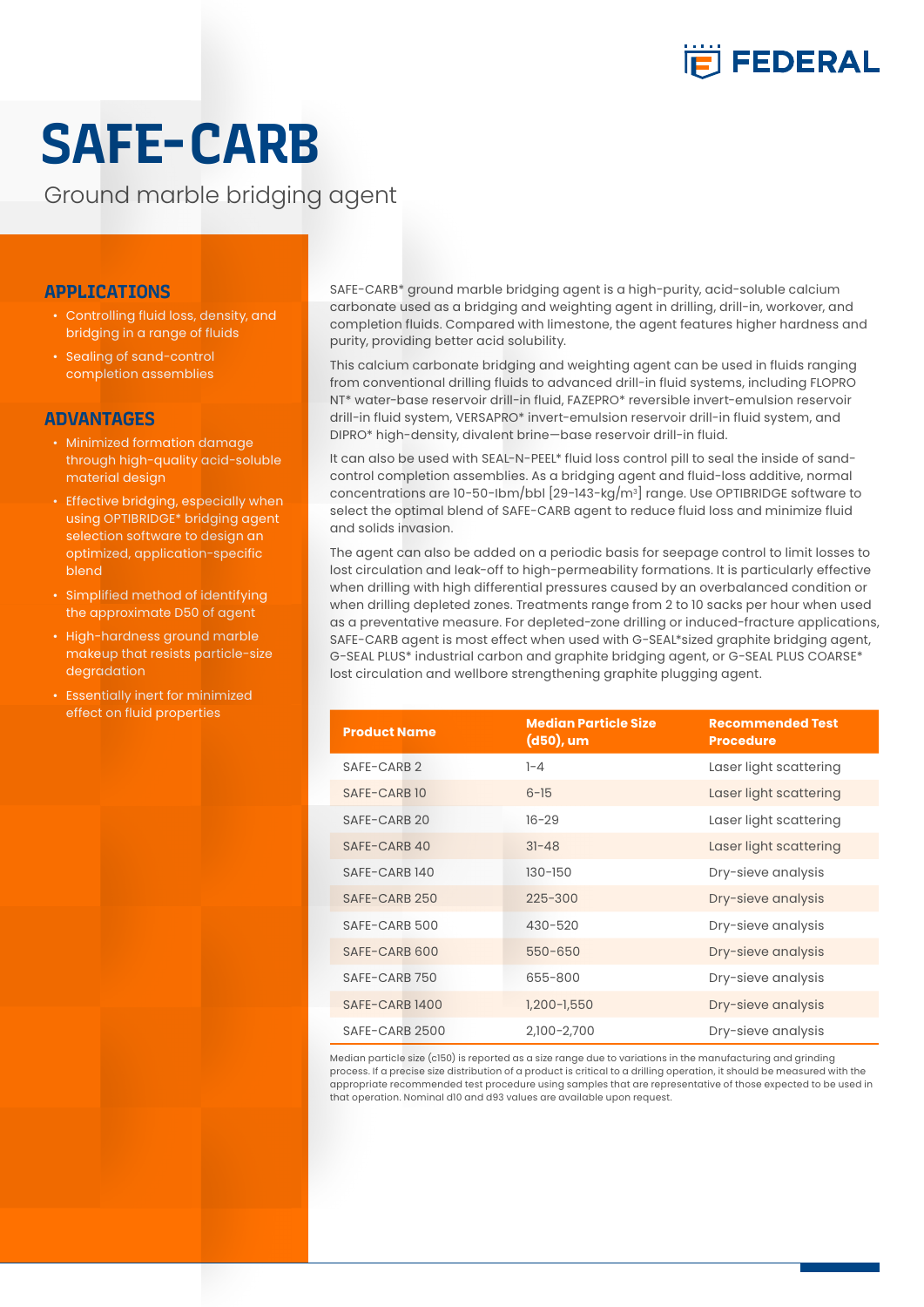

# **SAFE-CARB**

Ground marble bridging agent

#### **APPLICATIONS**

- Controlling fluid loss, density, and bridging in a range of fluids
- Sealing of sand-control completion assemblies

### **ADVANTAGES**

- Minimized formation damage through high-quality acid-soluble material design
- Effective bridging, especially when using OPTIBRIDGE\* bridging agent selection software to design an optimized, application-specific blend
- Simplified method of identifying the approximate D50 of agent
- High-hardness ground marble makeup that resists particle-size degradation
- Essentially inert for minimized effect on fluid properties

SAFE-CARB\* ground marble bridging agent is a high-purity, acid-soluble calcium carbonate used as a bridging and weighting agent in drilling, drill-in, workover, and completion fluids. Compared with limestone, the agent features higher hardness and purity, providing better acid solubility.

This calcium carbonate bridging and weighting agent can be used in fluids ranging from conventional drilling fluids to advanced drill-in fluid systems, including FLOPRO NT\* water-base reservoir drill-in fluid, FAZEPRO\* reversible invert-emulsion reservoir drill-in fluid system, VERSAPRO\* invert-emulsion reservoir drill-in fluid system, and DIPRO\* high-density, divalent brine—base reservoir drill-in fluid.

It can also be used with SEAL-N-PEEL\* fluid loss control pill to seal the inside of sandcontrol completion assemblies. As a bridging agent and fluid-loss additive, normal concentrations are 10-50-Ibm/bbl [29-143-kg/m3 ] range. Use OPTIBRIDGE software to select the optimal blend of SAFE-CARB agent to reduce fluid loss and minimize fluid and solids invasion.

The agent can also be added on a periodic basis for seepage control to limit losses to lost circulation and leak-off to high-permeability formations. It is particularly effective when drilling with high differential pressures caused by an overbalanced condition or when drilling depleted zones. Treatments range from 2 to 10 sacks per hour when used as a preventative measure. For depleted-zone drilling or induced-fracture applications, SAFE-CARB agent is most effect when used with G-SEAL\*sized graphite bridging agent, G-SEAL PLUS\* industrial carbon and graphite bridging agent, or G-SEAL PLUS COARSE\* lost circulation and wellbore strengthening graphite plugging agent.

| <b>Product Name</b> | <b>Median Particle Size</b><br>$(d50)$ , um | <b>Recommended Test</b><br><b>Procedure</b> |
|---------------------|---------------------------------------------|---------------------------------------------|
| SAFF-CARR 2         | $1 - 4$                                     | Laser light scattering                      |
| SAFF-CARB 10        | $6 - 15$                                    | Laser light scattering                      |
| SAFE-CARB 20        | $16 - 29$                                   | Laser light scattering                      |
| SAFF-CARB 40        | $31 - 48$                                   | Laser light scattering                      |
| SAFE-CARB 140       | $130 - 150$                                 | Dry-sieve analysis                          |
| SAFF-CARB 250       | $225 - 300$                                 | Dry-sieve analysis                          |
| SAFE-CARB 500       | $430 - 520$                                 | Dry-sieve analysis                          |
| SAFE-CARB 600       | 550-650                                     | Dry-sieve analysis                          |
| SAFE-CARB 750       | 655-800                                     | Dry-sieve analysis                          |
| SAFE-CARB 1400      | $1,200 - 1,550$                             | Dry-sieve analysis                          |
| SAFE-CARB 2500      | 2,100-2,700                                 | Dry-sieve analysis                          |

Median particle size (c150) is reported as a size range due to variations in the manufacturing and grinding process. If a precise size distribution of a product is critical to a drilling operation, it should be measured with the appropriate recommended test procedure using samples that are representative of those expected to be used in that operation. Nominal d10 and d93 values are available upon request.